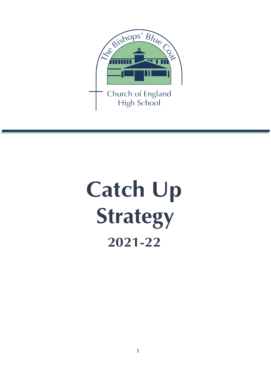

# **Catch Up Strategy 2021-22**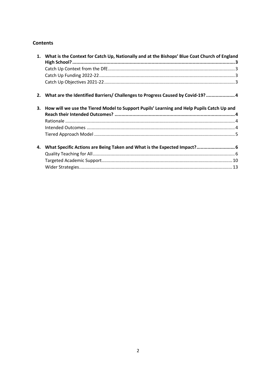### **Contents**

|    | 1. What is the Context for Catch Up, Nationally and at the Bishops' Blue Coat Church of England |  |
|----|-------------------------------------------------------------------------------------------------|--|
|    |                                                                                                 |  |
|    |                                                                                                 |  |
|    |                                                                                                 |  |
|    | 2. What are the Identified Barriers/ Challenges to Progress Caused by Covid-19?  4              |  |
|    | 3. How will we use the Tiered Model to Support Pupils' Learning and Help Pupils Catch Up and    |  |
|    |                                                                                                 |  |
|    |                                                                                                 |  |
|    |                                                                                                 |  |
|    |                                                                                                 |  |
| 4. | What Specific Actions are Being Taken and What is the Expected Impact? 6                        |  |
|    |                                                                                                 |  |
|    |                                                                                                 |  |
|    |                                                                                                 |  |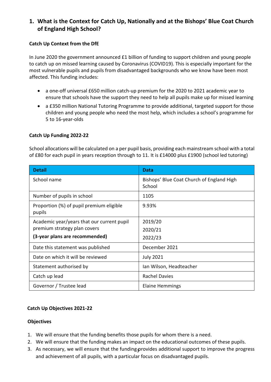## <span id="page-2-0"></span>**1. What is the Context for Catch Up, Nationally and at the Bishops' Blue Coat Church of England High School?**

### <span id="page-2-1"></span>**Catch Up Context from the DfE**

In June 2020 the government announced £1 billion of funding to support children and young people to catch up on missed learning caused by Coronavirus (COVID19). This is especially important for the most vulnerable pupils and pupils from disadvantaged backgrounds who we know have been most affected. This funding includes:

- a one-off universal £650 million catch-up premium for the 2020 to 2021 academic year to ensure that schools have the support they need to help all pupils make up for missed learning
- a £350 million [National Tutoring Programme](https://nationaltutoring.org.uk/) to provide additional, targeted support for those children and young people who need the most help, which includes a school's programme for 5 to 16-year-olds

#### <span id="page-2-2"></span>**Catch Up Funding 2022-22**

School allocations will be calculated on a per pupil basis, providing each mainstream school with a total of £80 for each pupil in years reception through to 11. It is £14000 plus £1900 (school led tutoring)

| <b>Detail</b>                                                                                                | <b>Data</b>                                         |
|--------------------------------------------------------------------------------------------------------------|-----------------------------------------------------|
| School name                                                                                                  | Bishops' Blue Coat Church of England High<br>School |
| Number of pupils in school                                                                                   | 1105                                                |
| Proportion (%) of pupil premium eligible<br>pupils                                                           | 9.93%                                               |
| Academic year/years that our current pupil<br>premium strategy plan covers<br>(3-year plans are recommended) | 2019/20<br>2020/21<br>2022/23                       |
| Date this statement was published                                                                            | December 2021                                       |
| Date on which it will be reviewed                                                                            | <b>July 2021</b>                                    |
| Statement authorised by                                                                                      | Ian Wilson, Headteacher                             |
| Catch up lead                                                                                                | <b>Rachel Davies</b>                                |
| Governor / Trustee lead                                                                                      | <b>Elaine Hemmings</b>                              |

#### <span id="page-2-3"></span>**Catch Up Objectives 2021-22**

#### **Objectives**

- 1. We will ensure that the funding benefits those pupils for whom there is a need.
- 2. We will ensure that the funding makes an impact on the educational outcomes of these pupils.
- 3. As necessary, we will ensure that the funding provides additional support to improve the progress and achievement of all pupils, with a particular focus on disadvantaged pupils.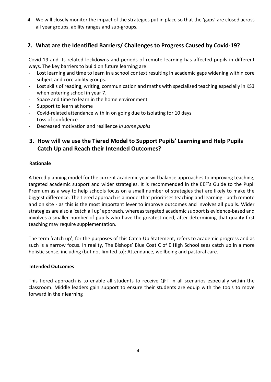4. We will closely monitor the impact of the strategies put in place so that the 'gaps' are closed across all year groups, ability ranges and sub-groups.

## <span id="page-3-0"></span>**2. What are the Identified Barriers/ Challenges to Progress Caused by Covid-19?**

Covid-19 and its related lockdowns and periods of remote learning has affected pupils in different ways. The key barriers to build on future learning are:

- Lost learning and time to learn in a school context resulting in academic gaps widening within core subject and core ability groups.
- Lost skills of reading, writing, communication and maths with specialised teaching especially in KS3 when entering school in year 7.
- Space and time to learn in the home environment
- Support to learn at home
- Covid-related attendance with in on going due to isolating for 10 days
- Loss of confidence
- Decreased motivation and resilience *in some pupils*

## <span id="page-3-1"></span>**3. How will we use the Tiered Model to Support Pupils' Learning and Help Pupils Catch Up and Reach their Intended Outcomes?**

#### <span id="page-3-2"></span>**Rationale**

A tiered planning model for the current academic year will balance approaches to improving teaching, targeted academic support and wider strategies. It is recommended in the EEF's Guide to the Pupil Premium as a way to help schools focus on a small number of strategies that are likely to make the biggest difference. The tiered approach is a model that prioritises teaching and learning - both remote and on site - as this is the most important lever to improve outcomes and involves all pupils. Wider strategies are also a 'catch all up' approach, whereas targeted academic support is evidence-based and involves a smaller number of pupils who have the greatest need, after determining that quality first teaching may require supplementation.

The term 'catch up', for the purposes of this Catch-Up Statement, refers to academic progress and as such is a narrow focus. In reality, The Bishops' Blue Coat C of E High School sees catch up in a more holistic sense, including (but not limited to): Attendance, wellbeing and pastoral care.

#### <span id="page-3-3"></span>**Intended Outcomes**

This tiered approach is to enable all students to receive QFT in all scenarios especially within the classroom. Middle leaders gain support to ensure their students are equip with the tools to move forward in their learning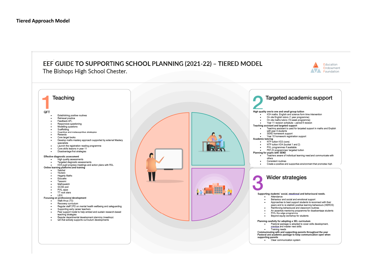## EEF GUIDE TO SUPPORTING SCHOOL PLANNING (2021-22) - TIERED MODEL The Bishops High School Chester.



<span id="page-4-0"></span>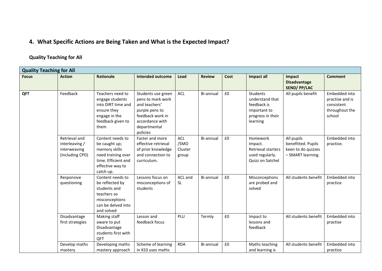## **4. What Specific Actions are Being Taken and What is the Expected Impact?**

## **Quality Teaching for All**

<span id="page-5-1"></span><span id="page-5-0"></span>

| <b>Quality Teaching for All</b> |                                                                    |                                                                                                                                  |                                                                                                                                               |                                        |               |      |                                                                                             |                                                                             |                                                                            |
|---------------------------------|--------------------------------------------------------------------|----------------------------------------------------------------------------------------------------------------------------------|-----------------------------------------------------------------------------------------------------------------------------------------------|----------------------------------------|---------------|------|---------------------------------------------------------------------------------------------|-----------------------------------------------------------------------------|----------------------------------------------------------------------------|
| <b>Focus</b>                    | <b>Action</b>                                                      | Rationale                                                                                                                        | <b>Intended outcome</b>                                                                                                                       | Lead                                   | <b>Review</b> | Cost | Impact all                                                                                  | Impact<br><b>Disadvantage</b><br><b>SEND/PP/LAC</b>                         | <b>Comment</b>                                                             |
| QFT                             | Feedback                                                           | Teachers need to<br>engage students<br>into DIRT time and<br>ensure they<br>engage in the<br>feedback given to<br>them           | Students use green<br>pens to mark work<br>and teachers'<br>purple pens to<br>feedback work in<br>accordance with<br>departmental<br>policies | <b>ACL</b>                             | Bi-annual     | £0   | Students<br>understand that<br>feedback is<br>important to<br>progress in their<br>learning | All pupils benefit                                                          | Embedded into<br>practise and is<br>consistent<br>throughout the<br>school |
|                                 | Retrieval and<br>interleaving /<br>interweaving<br>(including CPD) | Content needs to<br>be caught up;<br>memory skills<br>need training over<br>time. Efficient and<br>effective way to<br>catch up. | Faster and more<br>effective retrieval<br>of prior knowledge<br>and connection to<br>curriculum.                                              | <b>ACL</b><br>/SMO<br>Cluster<br>group | Bi-annual     | £0   | Homework<br>Impact.<br>Retrieval starters<br>used regularly.<br>Quizz on Satchel            | All pupils<br>benefitted. Pupils<br>keen to do quizzes<br>- SMART learning. | Embedded into<br>practice.                                                 |
|                                 | Responsive<br>questioning                                          | Content needs to<br>be reflected by<br>students and<br>teachers so<br>misconceptions<br>can be delved into<br>and solved         | Lessons focus on<br>misconceptions of<br>students                                                                                             | ACL and<br><b>SL</b>                   | Bi-annual     | £0   | Misconceptions<br>are probed and<br>solved                                                  | All students benefit                                                        | Embedded into<br>practice                                                  |
|                                 | Disadvantage<br>first strategies                                   | Making staff<br>aware to put<br>Disadvantage<br>students first with<br>QFT                                                       | Lesson and<br>feedback focus                                                                                                                  | PLU                                    | Termly        | £0   | Impact to<br>lessons and<br>feedback                                                        | All students benefit                                                        | Embedded into<br>practise                                                  |
|                                 | Develop maths<br>mastery                                           | Developing maths<br>mastery approach                                                                                             | Scheme of learning<br>in KS3 uses maths                                                                                                       | <b>RDA</b>                             | Bi-annual     | £0   | Maths teaching<br>and learning is                                                           | All students benefit                                                        | Embedded into<br>practice                                                  |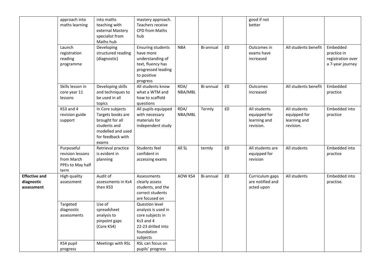|                                                  | approach into<br>maths learning                                          | into maths<br>teaching with<br>external Mastery<br>specialist from<br>Maths hub                                             | mastery approach.<br>Teachers receive<br><b>CPD from Maths</b><br>hub                                                           |                 |           |    | good if not<br>better                                     |                                                           |                                                                  |
|--------------------------------------------------|--------------------------------------------------------------------------|-----------------------------------------------------------------------------------------------------------------------------|---------------------------------------------------------------------------------------------------------------------------------|-----------------|-----------|----|-----------------------------------------------------------|-----------------------------------------------------------|------------------------------------------------------------------|
|                                                  | Launch<br>registration<br>reading<br>programme                           | Developing<br>structured reading<br>(diagnostic)                                                                            | <b>Ensuring students</b><br>have more<br>understanding of<br>text, fluency has<br>progressed leading<br>to positive<br>progress | <b>NBA</b>      | Bi-annual | £0 | Outcomes in<br>exams have<br>increased                    | All students benefit                                      | Embedded<br>practice in<br>registration over<br>a 7-year journey |
|                                                  | Skills lesson in<br>core year 11<br>lessons                              | Developing skills<br>and techniques to<br>be used in all<br>topics                                                          | All students know<br>what a WTM and<br>how to scaffold<br>questions                                                             | RDA/<br>NBA/MBL | Bi-annual | £0 | Outcomes<br>increased                                     | All students benefit                                      | Embedded<br>practice                                             |
|                                                  | KS3 and 4<br>revision guide<br>support                                   | In Core subjects<br>Targets books are<br>brought for all<br>students and<br>modelled and used<br>for feedback with<br>exams | All pupils equipped<br>with necessary<br>materials for<br>independent study                                                     | RDA/<br>NBA/MBL | Termly    | £0 | All students<br>equipped for<br>learning and<br>revision. | All students<br>equipped for<br>learning and<br>revision. | Embedded into<br>practice                                        |
|                                                  | Purposeful<br>revision lessons<br>from March<br>PPEs to May half<br>term | Retrieval practice<br>is evident in<br>planning                                                                             | Students feel<br>confident in<br>accessing exams                                                                                | All SL          | termly    | £0 | All students are<br>equipped for<br>revision              | All students                                              | Embedded into<br>practice                                        |
| <b>Effective and</b><br>diagnostic<br>assessment | High quality<br>assessment                                               | Audit of<br>assessments in Ks4<br>then KS3                                                                                  | Assessments<br>clearly assess<br>students, and the<br>correct students<br>are focused on                                        | AOW KS4         | Bi-annual | £0 | Curriculum gaps<br>are notified and<br>acted upon         | All students                                              | Embedded into<br>practise.                                       |
|                                                  | Targeted<br>diagnostic<br>assessments                                    | Use of<br>spreadsheet<br>analysis to<br>pinpoint gaps<br>(Core KS4)                                                         | Question level<br>analysis is used in<br>core subjects in<br>Ks3 and 4<br>22-23 drilled into<br>foundation<br>subjects          |                 |           |    |                                                           |                                                           |                                                                  |
|                                                  | KS4 pupil<br>progress                                                    | Meetings with RSL                                                                                                           | RSL can focus on<br>pupils' progress                                                                                            |                 |           |    |                                                           |                                                           |                                                                  |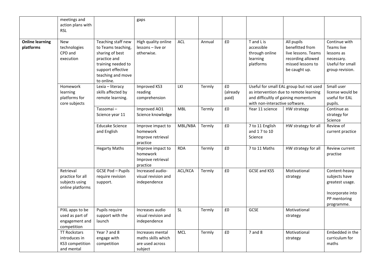| <b>Online learning</b> | meetings and<br>action plans with<br><b>RSL</b>                       |                                                                                                                                                           | gaps                                                                 |            |        |                         |                                                                       |                                                                                                                 |                                                                                                     |
|------------------------|-----------------------------------------------------------------------|-----------------------------------------------------------------------------------------------------------------------------------------------------------|----------------------------------------------------------------------|------------|--------|-------------------------|-----------------------------------------------------------------------|-----------------------------------------------------------------------------------------------------------------|-----------------------------------------------------------------------------------------------------|
| platforms              | <b>New</b><br>technologies<br>CPD and<br>execution                    | Teaching staff new<br>to Teams teaching,<br>sharing of best<br>practice and<br>training needed to<br>support effective<br>teaching and move<br>to online. | High quality online<br>lessons - live or<br>otherwise.               | <b>ACL</b> | Annual | £0                      | T and L is<br>accessible<br>through online<br>learning<br>platforms   | All pupils<br>benefitted from<br>live lessons. Teams<br>recording allowed<br>missed lessons to<br>be caught up. | Continue with<br>Teams live<br>lessons as<br>necessary.<br>Useful for small<br>group revision.      |
|                        | Homework<br>learning<br>platforms for<br>core subjects                | Lexia - literacy<br>skills affected by<br>remote learning.                                                                                                | Improved KS3<br>reading<br>comprehension                             | LKI        | Termly | £0<br>(already<br>paid) | and difficultly of gaining momentum<br>with non-interactive software. | Useful for small EAL group but not used<br>as intervention due to remote learning                               | Small user<br>license would be<br>useful for EAL<br>pupils.                                         |
|                        |                                                                       | Tassomai-<br>Science year 11                                                                                                                              | Improved AO1<br>Science knowledge                                    | <b>MBL</b> | Termly | £0                      | Year 11 science                                                       | HW strategy                                                                                                     | Continue as<br>strategy for<br>Science                                                              |
|                        |                                                                       | <b>Educake Science</b><br>and English                                                                                                                     | Improve impact to<br>homework<br>Improve retrieval<br>practice       | MBL/NBA    | Termly | £0                      | 7 to 11 English<br>and 17 to 10<br>Science                            | HW strategy for all                                                                                             | Review of<br>current practice                                                                       |
|                        |                                                                       | <b>Hegarty Maths</b>                                                                                                                                      | Improve impact to<br>homework<br>Improve retrieval<br>practice       | <b>RDA</b> | Termly | £0                      | 7 to 11 Maths                                                         | HW strategy for all                                                                                             | Review current<br>practise                                                                          |
|                        | Retrieval<br>practice for all<br>subjects using<br>online platforms   | GCSE Pod - Pupils<br>require revision<br>support.                                                                                                         | Increased audio-<br>visual revision and<br>independence              | ACL/KCA    | Termly | £0                      | GCSE and KS5                                                          | Motivational<br>strategy                                                                                        | Content-heavy<br>subjects have<br>greatest usage.<br>Incorporate into<br>PP mentoring<br>programme. |
|                        | PIXL apps to be<br>used as part of<br>engagement and<br>competition   | Pupils require<br>support with the<br>launch                                                                                                              | Increases audio<br>visual revision and<br>independence               | <b>SL</b>  | Termly | £0                      | <b>GCSE</b>                                                           | Motivational<br>strategy                                                                                        |                                                                                                     |
|                        | <b>TT Rockstars</b><br>introduces in<br>KS3 competition<br>and mental | Year 7 and 8<br>engage with<br>competition                                                                                                                | Increases mental<br>maths skills which<br>are used across<br>subject | <b>MCL</b> | Termly | £0                      | $7$ and $8$                                                           | Motivational<br>strategy                                                                                        | Embedded in the<br>curriculum for<br>maths                                                          |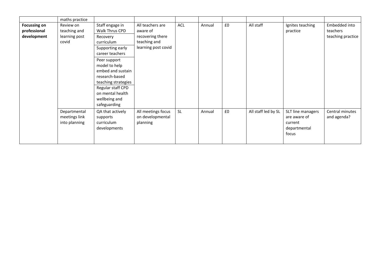|                                                    | maths practice                                      |                                                                                                                                                                                                                                                                             |                                                                                         |           |        |    |                     |                                                                       |                                                |
|----------------------------------------------------|-----------------------------------------------------|-----------------------------------------------------------------------------------------------------------------------------------------------------------------------------------------------------------------------------------------------------------------------------|-----------------------------------------------------------------------------------------|-----------|--------|----|---------------------|-----------------------------------------------------------------------|------------------------------------------------|
| <b>Focussing on</b><br>professional<br>development | Review on<br>teaching and<br>learning post<br>covid | Staff engage in<br>Walk Thrus CPD<br>Recovery<br>curriculum<br>Supporting early<br>career teachers<br>Peer support<br>model to help<br>embed and sustain<br>research-based<br>teaching strategies<br>Regular staff CPD<br>on mental health<br>wellbeing and<br>safeguarding | All teachers are<br>aware of<br>recovering there<br>teaching and<br>learning post covid | ACL       | Annual | £0 | All staff           | Ignites teaching<br>practice                                          | Embedded into<br>teachers<br>teaching practice |
|                                                    | Departmental<br>meetings link<br>into planning      | QA that actively<br>supports<br>curriculum<br>developments                                                                                                                                                                                                                  | All meetings focus<br>on developmental<br>planning                                      | <b>SL</b> | Annual | £0 | All staff led by SL | SLT line managers<br>are aware of<br>current<br>departmental<br>focus | Central minutes<br>and agenda?                 |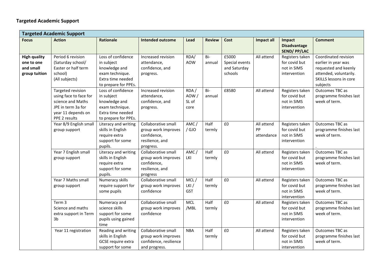<span id="page-9-0"></span>

|                                                                 | <b>Targeted Academic Support</b>                                                                                              |                                                                                                                   |                                                                                           |                               |                |                                                    |                                |                                                                 |                                                                                                                                     |
|-----------------------------------------------------------------|-------------------------------------------------------------------------------------------------------------------------------|-------------------------------------------------------------------------------------------------------------------|-------------------------------------------------------------------------------------------|-------------------------------|----------------|----------------------------------------------------|--------------------------------|-----------------------------------------------------------------|-------------------------------------------------------------------------------------------------------------------------------------|
| <b>Focus</b>                                                    | <b>Action</b>                                                                                                                 | Rationale                                                                                                         | <b>Intended outcome</b>                                                                   | Lead                          | <b>Review</b>  | Cost                                               | <b>Impact all</b>              | Impact<br><b>Disadvantage</b><br><b>SEND/PP/LAC</b>             | <b>Comment</b>                                                                                                                      |
| <b>High quality</b><br>one to one<br>and small<br>group tuition | Period 6 revision<br>(Saturday school/<br>Easter or half term<br>school)<br>(All subjects)                                    | Loss of confidence<br>in subject<br>knowledge and<br>exam technique.<br>Extra time needed<br>to prepare for PPEs. | Increased revision<br>attendance,<br>confidence, and<br>progress.                         | RDA/<br><b>AOW</b>            | Bi-<br>annual  | £5000<br>Special events<br>and Saturday<br>schools | All attend                     | Registers taken<br>for covid but<br>not in SIMS<br>intervention | Coordinated revision<br>earlier in year was<br>requested and keenly<br>attended, voluntarily.<br>SKILLS lessons in core<br>subjects |
|                                                                 | Targeted revision<br>using face to face for<br>science and Maths<br>JPE in term 3a for<br>year 11 depends on<br>PPE 2 results | Loss of confidence<br>in subject<br>knowledge and<br>exam technique.<br>Extra time needed<br>to prepare for PPEs. | Increased revision<br>attendance,<br>confidence, and<br>progress.                         | RDA/<br>AOW/<br>SL of<br>core | Bi-<br>annual  | £8580                                              | All attend                     | Registers taken<br>for covid but<br>not in SIMS<br>intervention | Outcomes TBC as<br>programme finishes last<br>week of term.                                                                         |
|                                                                 | Year 8/9 English small<br>group support                                                                                       | Literacy and writing<br>skills in English<br>require extra<br>support for some<br>pupils.                         | Collaborative small<br>group work improves<br>confidence,<br>resilience, and<br>progress. | AMC/<br>/ GJO                 | Half<br>termly | £0                                                 | All attend<br>PP<br>attendance | Registers taken<br>for covid but<br>not in SIMS<br>intervention | Outcomes TBC as<br>programme finishes last<br>week of term.                                                                         |
|                                                                 | Year 7 English small<br>group support                                                                                         | Literacy and writing<br>skills in English<br>require extra<br>support for some<br>pupils.                         | Collaborative small<br>group work improves<br>confidence,<br>resilience, and<br>progress  | AMC/<br>LKI                   | Half<br>termly | £0                                                 | All attend                     | Registers taken<br>for covid but<br>not in SIMS<br>intervention | Outcomes TBC as<br>programme finishes last<br>week of term.                                                                         |
|                                                                 | Year 7 Maths small<br>group support                                                                                           | Numeracy skills<br>require support for<br>some pupils                                                             | Collaborative small<br>group work improves<br>confidence                                  | MCL/<br>LKI/<br>GST           | Half<br>termly | £0                                                 | All attend                     | Registers taken<br>for covid but<br>not in SIMS<br>intervention | Outcomes TBC as<br>programme finishes last<br>week of term.                                                                         |
|                                                                 | Term <sub>3</sub><br>Science and maths<br>extra support in Term<br>3b                                                         | Numeracy and<br>science skills<br>support for some<br>pupils using gained<br>time                                 | Collaborative small<br>group work improves<br>confidence                                  | <b>MCL</b><br>/MBL            | Half<br>termly | £0                                                 | All attend                     | Registers taken<br>for covid but<br>not in SIMS<br>intervention | Outcomes TBC as<br>programme finishes last<br>week of term.                                                                         |
|                                                                 | Year 11 registration                                                                                                          | Reading and writing<br>skills in English<br>GCSE require extra<br>support for some                                | Collaborative small<br>group work improves<br>confidence, resilience<br>and progress.     | <b>NBA</b>                    | Half<br>termly | £0                                                 | All attend                     | Registers taken<br>for covid but<br>not in SIMS<br>intervention | Outcomes TBC as<br>programme finishes last<br>week of term.                                                                         |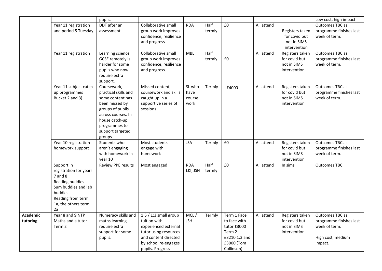|                 |                        | pupils.                     |                         |            |        |                   |            |                 | Low cost, high impact.  |
|-----------------|------------------------|-----------------------------|-------------------------|------------|--------|-------------------|------------|-----------------|-------------------------|
|                 | Year 11 registration   | DDT after an                | Collaborative small     | <b>RDA</b> | Half   | £0                | All attend |                 | Outcomes TBC as         |
|                 | and period 5 Tuesday   | assessment                  | group work improves     |            | termly |                   |            | Registers taken | programme finishes last |
|                 |                        |                             | confidence, resilience  |            |        |                   |            | for covid but   | week of term.           |
|                 |                        |                             | and progress            |            |        |                   |            | not in SIMS     |                         |
|                 |                        |                             |                         |            |        |                   |            | intervention    |                         |
|                 | Year 11 registration   | Learning science            | Collaborative small     | <b>MBL</b> | Half   |                   | All attend | Registers taken | Outcomes TBC as         |
|                 |                        | GCSE remotely is            | group work improves     |            | termly | £0                |            | for covid but   | programme finishes last |
|                 |                        | harder for some             | confidence, resilience  |            |        |                   |            | not in SIMS     | week of term.           |
|                 |                        | pupils who now              | and progress.           |            |        |                   |            | intervention    |                         |
|                 |                        | require extra               |                         |            |        |                   |            |                 |                         |
|                 |                        | support.                    |                         |            |        |                   |            |                 |                         |
|                 | Year 11 subject catch  | Coursework,                 | Missed content,         | SL who     | Termly | £4000             | All attend | Registers taken | Outcomes TBC as         |
|                 | up programmes          | practical skills and        | coursework and skills   | have       |        |                   |            | for covid but   | programme finishes last |
|                 | Bucket 2 and 3)        | some content has            | caught up in a          | course     |        |                   |            | not in SIMS     | week of term.           |
|                 |                        | been missed by              | supportive series of    | work       |        |                   |            | intervention    |                         |
|                 |                        | groups of pupils            | sessions.               |            |        |                   |            |                 |                         |
|                 |                        | across courses. In-         |                         |            |        |                   |            |                 |                         |
|                 |                        | house catch-up              |                         |            |        |                   |            |                 |                         |
|                 |                        | programmes to               |                         |            |        |                   |            |                 |                         |
|                 |                        | support targeted<br>groups. |                         |            |        |                   |            |                 |                         |
|                 | Year 10 registration   | Students who                | Most students           | <b>JSA</b> | Termly | £0                | All attend | Registers taken | Outcomes TBC as         |
|                 | homework support       | aren't engaging             | engage with             |            |        |                   |            | for covid but   | programme finishes last |
|                 |                        | with homework in            | homework                |            |        |                   |            | not in SIMS     | week of term.           |
|                 |                        | year 10                     |                         |            |        |                   |            | intervention    |                         |
|                 | Support in             | <b>Review PPE results</b>   | Most engaged            | <b>RDA</b> | Half   | £0                | All attend | In sims         | <b>Outcomes TBC</b>     |
|                 | registration for years |                             |                         | LKI, JSH   | termly |                   |            |                 |                         |
|                 | 7 and 8                |                             |                         |            |        |                   |            |                 |                         |
|                 | Reading buddies        |                             |                         |            |        |                   |            |                 |                         |
|                 | Sum buddies and lab    |                             |                         |            |        |                   |            |                 |                         |
|                 | buddies                |                             |                         |            |        |                   |            |                 |                         |
|                 | Reading from term      |                             |                         |            |        |                   |            |                 |                         |
|                 | 1a, the others term    |                             |                         |            |        |                   |            |                 |                         |
|                 | 2a                     |                             |                         |            |        |                   |            |                 |                         |
| <b>Academic</b> | Year 8 and 9 NTP       | Numeracy skills and         | 1:5 $/$ 1:3 small group | MCL/       | Termly | Term 1 Face       | All attend | Registers taken | Outcomes TBC as         |
| tutoring        | Maths and a tutor      | maths learning              | tuition with            | <b>JSH</b> |        | to face with      |            | for covid but   | programme finishes last |
|                 | Term 2                 | require extra               | experienced external    |            |        | tutor £3000       |            | not in SIMS     | week of term.           |
|                 |                        | support for some            | tutor using resources   |            |        | Term <sub>2</sub> |            | intervention    |                         |
|                 |                        | pupils.                     | and content directed    |            |        | £3210 1:3 and     |            |                 | High cost, medium       |
|                 |                        |                             | by school re-engages    |            |        | £3000 (Tom        |            |                 | impact.                 |
|                 |                        |                             | pupils. Progress        |            |        | Collinson)        |            |                 |                         |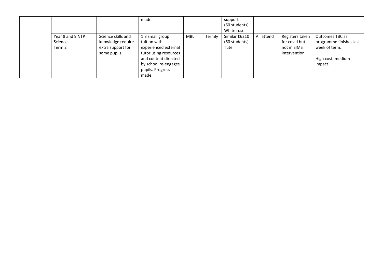|                                       |                                                                              | made.                                                                                                                                                         |     |        | support<br>(60 students)<br>White rose |            |                                                                 |                                                                                             |
|---------------------------------------|------------------------------------------------------------------------------|---------------------------------------------------------------------------------------------------------------------------------------------------------------|-----|--------|----------------------------------------|------------|-----------------------------------------------------------------|---------------------------------------------------------------------------------------------|
| Year 8 and 9 NTP<br>Science<br>Term 2 | Science skills and<br>knowledge require<br>extra support for<br>some pupils. | 1:3 small group<br>tuition with<br>experienced external<br>tutor using resources<br>and content directed<br>by school re-engages<br>pupils. Progress<br>made. | MBL | Termly | Similar £6210<br>(60 students)<br>Tute | All attend | Registers taken<br>for covid but<br>not in SIMS<br>intervention | Outcomes TBC as<br>programme finishes last<br>week of term.<br>High cost, medium<br>impact. |